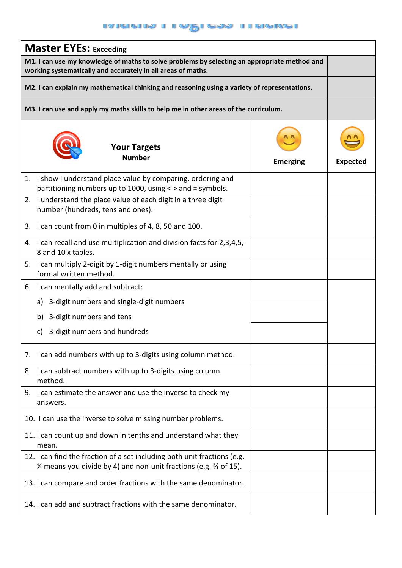## **INARADA I A RADA I A RADA**

| <b>Master EYEs: Exceeding</b>                                                                                                                                |                 |                 |  |
|--------------------------------------------------------------------------------------------------------------------------------------------------------------|-----------------|-----------------|--|
| M1. I can use my knowledge of maths to solve problems by selecting an appropriate method and<br>working systematically and accurately in all areas of maths. |                 |                 |  |
| M2. I can explain my mathematical thinking and reasoning using a variety of representations.                                                                 |                 |                 |  |
| M3. I can use and apply my maths skills to help me in other areas of the curriculum.                                                                         |                 |                 |  |
| <b>Your Targets</b><br><b>Number</b>                                                                                                                         | <b>Emerging</b> | <b>Expected</b> |  |
| I show I understand place value by comparing, ordering and<br>1.<br>partitioning numbers up to 1000, using < > and = symbols.                                |                 |                 |  |
| I understand the place value of each digit in a three digit<br>2.<br>number (hundreds, tens and ones).                                                       |                 |                 |  |
| 3. I can count from 0 in multiples of 4, 8, 50 and 100.                                                                                                      |                 |                 |  |
| 4. I can recall and use multiplication and division facts for 2,3,4,5,<br>8 and 10 x tables.                                                                 |                 |                 |  |
| 5. I can multiply 2-digit by 1-digit numbers mentally or using<br>formal written method.                                                                     |                 |                 |  |
| 6. I can mentally add and subtract:                                                                                                                          |                 |                 |  |
| 3-digit numbers and single-digit numbers<br>a)                                                                                                               |                 |                 |  |
| 3-digit numbers and tens<br>b)                                                                                                                               |                 |                 |  |
| 3-digit numbers and hundreds<br>C)                                                                                                                           |                 |                 |  |
| 7. I can add numbers with up to 3-digits using column method.                                                                                                |                 |                 |  |
| I can subtract numbers with up to 3-digits using column<br>8.<br>method.                                                                                     |                 |                 |  |
| 9. I can estimate the answer and use the inverse to check my<br>answers.                                                                                     |                 |                 |  |
| 10. I can use the inverse to solve missing number problems.                                                                                                  |                 |                 |  |
| 11. I can count up and down in tenths and understand what they<br>mean.                                                                                      |                 |                 |  |
| 12. I can find the fraction of a set including both unit fractions (e.g.<br>1⁄4 means you divide by 4) and non-unit fractions (e.g. 3/3 of 15).              |                 |                 |  |
| 13. I can compare and order fractions with the same denominator.                                                                                             |                 |                 |  |
| 14. I can add and subtract fractions with the same denominator.                                                                                              |                 |                 |  |